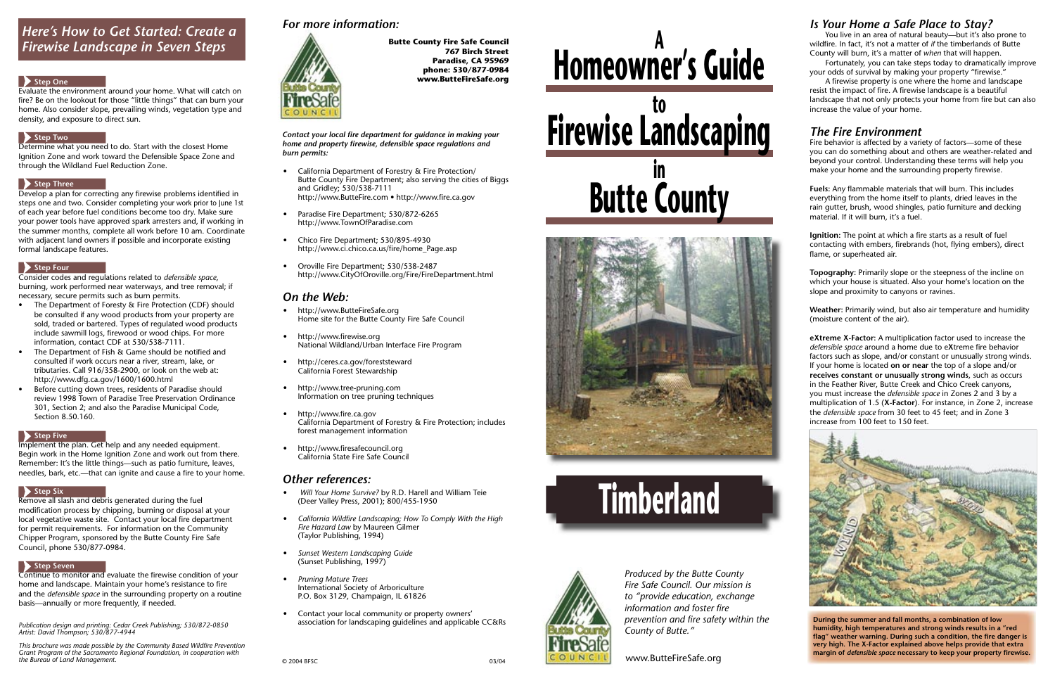# **Homeowner's Guide <sup>A</sup>**









www.ButteFireSafe.org

*Produced by the Butte County Fire Safe Council. Our mission is to "provide education, exchange information and foster fire prevention and fire safety within the County of Butte."*

 Fortunately, you can take steps today to dramatically improve your odds of survival by making your property "firewise."

## *Is Your Home a Safe Place to Stay?*

 You live in an area of natural beauty—but it's also prone to wildfire. In fact, it's not a matter of *if* the timberlands of Butte County will burn, it's a matter of *when* that will happen.

A firewise property is one where the home and landscape resist the impact of fire. A firewise landscape is a beautiful landscape that not only protects your home from fire but can also increase the value of your home.

Fire behavior is affected by a variety of factors—some of these you can do something about and others are weather-related and beyond your control. Understanding these terms will help you make your home and the surrounding property firewise.

**Fuels:** Any flammable materials that will burn. This includes everything from the home itself to plants, dried leaves in the rain gutter, brush, wood shingles, patio furniture and decking material. If it will burn, it's a fuel.

**Ignition:** The point at which a fire starts as a result of fuel contacting with embers, firebrands (hot, flying embers), direct flame, or superheated air.

**Topography:** Primarily slope or the steepness of the incline on which your house is situated. Also your home's location on the slope and proximity to canyons or ravines.

## *The Fire Environment*

**Weather:** Primarily wind, but also air temperature and humidity (moisture content of the air).

Contact your local fire department for guidance in making your *home and property fi rewise, defensible space regulations and burn permits:*

> **eXtreme X-Factor:** A multiplication factor used to increase the *defensible space* around a home due to eXtreme fire behavior factors such as slope, and/or constant or unusually strong winds. If your home is located **on or near** the top of a slope and/or **re ceives con stant or unusually strong winds**, such as occurs in the Feather River, Butte Creek and Chico Creek canyons, you must increase the *defensible space* in Zones 2 and 3 by a multiplication of 1.5 (X-Factor). For instance, in Zone 2, increase the *defensible space* from 30 feet to 45 feet; and in Zone 3 in crease from 100 feet to 150 feet.



**During the summer and fall months, a combination of low humidity, high temperatures and strong winds results in a "red**  flag" weather warning. During such a condition, the fire danger is **very high. The X-Factor explained above helps provide that extra margin of** *defensible space* necessary to keep your property firewise.

Develop a plan for correcting any firewise problems identified in steps one and two. Consider completing your work prior to June 1st of each year before fuel conditions become too dry. Make sure your power tools have approved spark arresters and, if working in the summer months, complete all work before 10 am. Coordinate with adjacent land owners if possible and incorporate existing formal landscape features.

#### Step Four

- California Department of Forestry & Fire Protection/ Butte County Fire Department; also serving the cities of Biggs and Gridley; 530/538-7111 http://www.ButteFire.com • http://www.fire.ca.gov
- Paradise Fire Department; 530/872-6265 http://www.TownOfParadise.com
- Chico Fire Department; 530/895-4930 http://www.ci.chico.ca.us/fire/home\_Page.asp
- Oroville Fire Department; 530/538-2487 http://www.CityOfOroville.org/Fire/FireDepartment.html

## *On the Web:*

Implement the plan. Get help and any needed equipment. Begin work in the Home Ignition Zone and work out from there. Remember: It's the little things—such as patio furniture, leaves, needles, bark, etc.—that can ignite and cause a fire to your home.

#### Step Six

- http://www.ButteFireSafe.org Home site for the Butte County Fire Safe Council
- http://www.firewise.org National Wildland/Urban Interface Fire Program
- http://ceres.ca.gov/foreststeward California Forest Stewardship
- http://www.tree-pruning.com Information on tree pruning techniques
- http://www.fire.ca.gov California Department of Forestry & Fire Protection; includes forest management information
- http://www.firesafecouncil.org California State Fire Safe Council

## *Other references:*

Continue to monitor and evaluate the firewise condition of your home and landscape. Maintain your home's resistance to fire and the *defensible space* in the surrounding property on a routine basis—annually or more frequently, if needed.

- *Will Your Home Survive?* by R.D. Harell and William Teie (Deer Valley Press, 2001); 800/455-1950
- California Wildfire Landscaping; How To Comply With the High *Fire Hazard Law* by Maureen Gilmer (Taylor Publishing, 1994)
- *Sunset Western Landscaping Guide* (Sunset Publishing, 1997)
- *Pruning Mature Trees* International Society of Arboriculture P.O. Box 3129, Champaign, IL 61826
- Contact your local community or property owners' association for landscaping guidelines and applicable CC&Rs

## *For more information:*



**Butte County Fire Safe Council 767 Birch Street Paradise, CA 95969 phone: 530/877-0984 www.ButteFireSafe.org**

## *Here's How to Get Started: Create a Firewise Landscape in Seven Steps*

#### Step One

Evaluate the environment around your home. What will catch on fire? Be on the lookout for those "little things" that can burn your home. Also consider slope, prevailing winds, vegetation type and density, and exposure to direct sun.

#### **Step Two**

Determine what you need to do. Start with the closest Home Ignition Zone and work toward the Defensible Space Zone and through the Wildland Fuel Reduction Zone.

## Step Three

Consider codes and regulations related to *defensible space*, burning, work performed near waterways, and tree removal; if necessary, secure permits such as burn permits.

- The Department of Foresty & Fire Protection (CDF) should be consulted if any wood products from your property are sold, traded or bartered. Types of regulated wood products include sawmill logs, firewood or wood chips. For more information, contact CDF at 530/538-7111.
- The Department of Fish & Game should be notified and consulted if work occurs near a river, stream, lake, or tributaries. Call 916/358-2900, or look on the web at: http://www.dfg.ca.gov/1600/1600.html
- Before cutting down trees, residents of Paradise should review 1998 Town of Paradise Tree Preservation Ordinance 301, Section 2; and also the Paradise Municipal Code, Section 8.50.160.

#### **Step Five**

Remove all slash and debris generated during the fuel modification process by chipping, burning or disposal at your local vegetative waste site. Contact your local fire department for permit requirements. For information on the Community Chipper Program, sponsored by the Butte County Fire Safe Council, phone 530/877-0984.

## **Step Seven**

*Publication design and printing: Cedar Creek Publishing; 530/872-0850 Artist: David Thompson; 530/877-4944*

*This brochure was made possible by the Community Based Wildfire Prevention Grant Program of the Sacramento Regional Foundation, in cooperation with the Bureau of Land Management.*  $\sim$  03/04 **CONFIDENTIAL CONFIDENT** CONFIDENTIAL CONFIDENTIAL CONFIDENTIAL CONFIDENTIAL CONFIDENTIAL CONFIDENTIAL CONFIDENTIAL CONFIDENTIAL CONFIDENTIAL CONFIDENTIAL CONFIDENTIAL CONFIDENTI